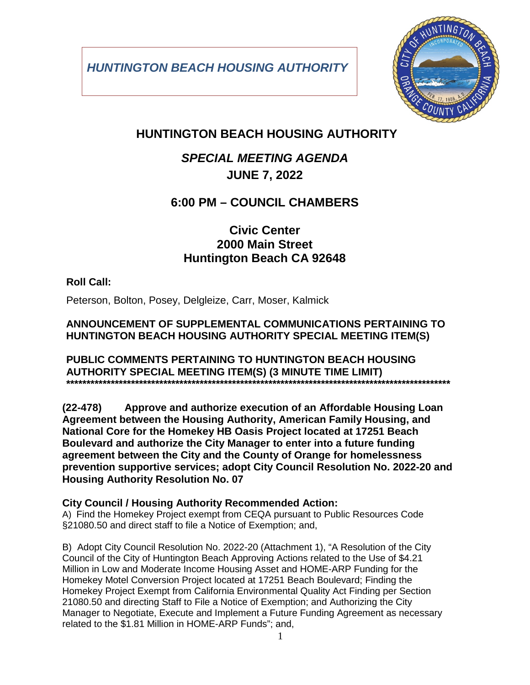*HUNTINGTON BEACH HOUSING AUTHORITY*



## **HUNTINGTON BEACH HOUSING AUTHORITY**

## *SPECIAL MEETING AGENDA* **JUNE 7, 2022**

### **6:00 PM – COUNCIL CHAMBERS**

### **Civic Center 2000 Main Street Huntington Beach CA 92648**

### **Roll Call:**

Peterson, Bolton, Posey, Delgleize, Carr, Moser, Kalmick

#### **ANNOUNCEMENT OF SUPPLEMENTAL COMMUNICATIONS PERTAINING TO HUNTINGTON BEACH HOUSING AUTHORITY SPECIAL MEETING ITEM(S)**

#### **PUBLIC COMMENTS PERTAINING TO HUNTINGTON BEACH HOUSING AUTHORITY SPECIAL MEETING ITEM(S) (3 MINUTE TIME LIMIT) \*\*\*\*\*\*\*\*\*\*\*\*\*\*\*\*\*\*\*\*\*\*\*\*\*\*\*\*\*\*\*\*\*\*\*\*\*\*\*\*\*\*\*\*\*\*\*\*\*\*\*\*\*\*\*\*\*\*\*\*\*\*\*\*\*\*\*\*\*\*\*\*\*\*\*\*\*\*\*\*\*\*\*\*\*\*\*\*\*\*\*\*\*\*\***

**(22-478) Approve and authorize execution of an Affordable Housing Loan Agreement between the Housing Authority, American Family Housing, and National Core for the Homekey HB Oasis Project located at 17251 Beach Boulevard and authorize the City Manager to enter into a future funding agreement between the City and the County of Orange for homelessness prevention supportive services; adopt City Council Resolution No. 2022-20 and Housing Authority Resolution No. 07**

### **City Council / Housing Authority Recommended Action:**

A) Find the Homekey Project exempt from CEQA pursuant to Public Resources Code §21080.50 and direct staff to file a Notice of Exemption; and,

B) Adopt City Council Resolution No. 2022-20 (Attachment 1), "A Resolution of the City Council of the City of Huntington Beach Approving Actions related to the Use of \$4.21 Million in Low and Moderate Income Housing Asset and HOME-ARP Funding for the Homekey Motel Conversion Project located at 17251 Beach Boulevard; Finding the Homekey Project Exempt from California Environmental Quality Act Finding per Section 21080.50 and directing Staff to File a Notice of Exemption; and Authorizing the City Manager to Negotiate, Execute and Implement a Future Funding Agreement as necessary related to the \$1.81 Million in HOME-ARP Funds"; and,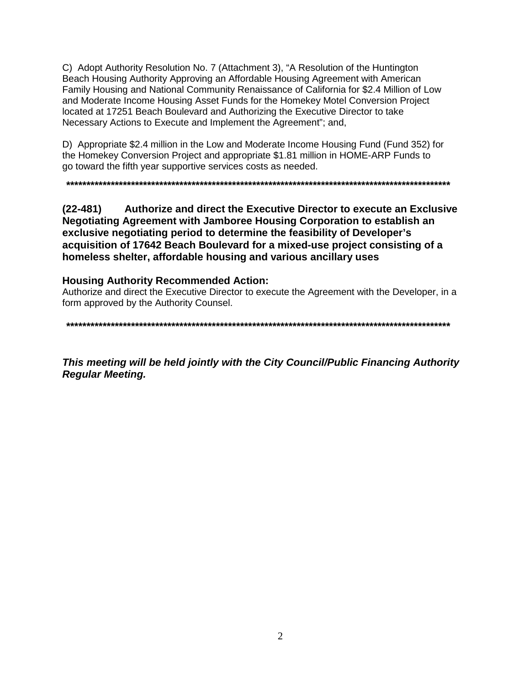C) Adopt Authority Resolution No. 7 (Attachment 3), "A Resolution of the Huntington Beach Housing Authority Approving an Affordable Housing Agreement with American Family Housing and National Community Renaissance of California for \$2.4 Million of Low and Moderate Income Housing Asset Funds for the Homekey Motel Conversion Project located at 17251 Beach Boulevard and Authorizing the Executive Director to take Necessary Actions to Execute and Implement the Agreement"; and,

D) Appropriate \$2.4 million in the Low and Moderate Income Housing Fund (Fund 352) for the Homekey Conversion Project and appropriate \$1.81 million in HOME-ARP Funds to go toward the fifth year supportive services costs as needed.

Authorize and direct the Executive Director to execute an Exclusive  $(22 - 481)$ Negotiating Agreement with Jamboree Housing Corporation to establish an exclusive negotiating period to determine the feasibility of Developer's acquisition of 17642 Beach Boulevard for a mixed-use project consisting of a homeless shelter, affordable housing and various ancillary uses

#### **Housing Authority Recommended Action:**

Authorize and direct the Executive Director to execute the Agreement with the Developer, in a form approved by the Authority Counsel.

This meeting will be held jointly with the City Council/Public Financing Authority **Regular Meeting.**